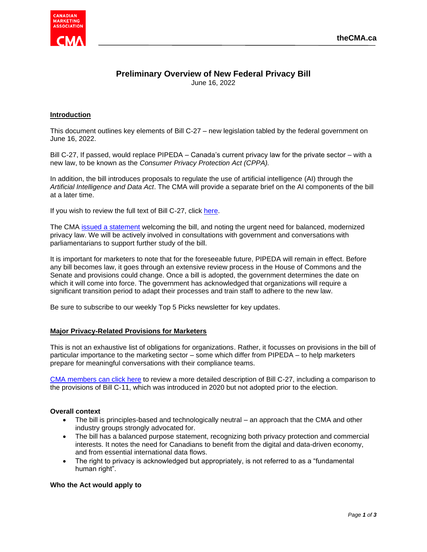

# **Preliminary Overview of New Federal Privacy Bill**

June 16, 2022

# **Introduction**

This document outlines key elements of Bill C-27 – new legislation tabled by the federal government on June 16, 2022.

Bill C-27, If passed, would replace PIPEDA – Canada's current privacy law for the private sector – with a new law, to be known as the *Consumer Privacy Protection Act (CPPA).* 

In addition, the bill introduces proposals to regulate the use of artificial intelligence (AI) through the *Artificial Intelligence and Data Act*. The CMA will provide a separate brief on the AI components of the bill at a later time.

If you wish to review the full text of Bill C-27, click [here.](https://www.parl.ca/DocumentViewer/en/44-1/bill/C-27/first-reading)

The CMA [issued a statement](https://thecma.ca/topic/media/2022/06/16/cma-welcomes-introduction-of-federal-privacy-bill) welcoming the bill, and noting the urgent need for balanced, modernized privacy law. We will be actively involved in consultations with government and conversations with parliamentarians to support further study of the bill.

It is important for marketers to note that for the foreseeable future, PIPEDA will remain in effect. Before any bill becomes law, it goes through an extensive review process in the House of Commons and the Senate and provisions could change. Once a bill is adopted, the government determines the date on which it will come into force. The government has acknowledged that organizations will require a significant transition period to adapt their processes and train staff to adhere to the new law.

Be sure to subscribe to our weekly Top 5 Picks newsletter for key updates.

## **Major Privacy-Related Provisions for Marketers**

This is not an exhaustive list of obligations for organizations. Rather, it focusses on provisions in the bill of particular importance to the marketing sector – some which differ from PIPEDA – to help marketers prepare for meaningful conversations with their compliance teams.

[CMA members can click here](https://thecma.ca/docs/default-source/secured-docs/preliminary-overview-of-new-privacy-bill-for-cma-members---final.pdf?sfvrsn=7be6b319_2) to review a more detailed description of Bill C-27, including a comparison to the provisions of Bill C-11, which was introduced in 2020 but not adopted prior to the election.

## **Overall context**

- The bill is principles-based and technologically neutral an approach that the CMA and other industry groups strongly advocated for.
- The bill has a balanced purpose statement, recognizing both privacy protection and commercial interests. It notes the need for Canadians to benefit from the digital and data-driven economy, and from essential international data flows.
- The right to privacy is acknowledged but appropriately, is not referred to as a "fundamental" human right".

## **Who the Act would apply to**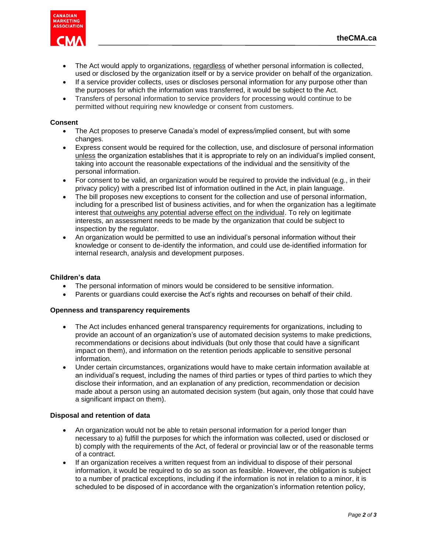

- The Act would apply to organizations, regardless of whether personal information is collected, used or disclosed by the organization itself or by a service provider on behalf of the organization.
- If a service provider collects, uses or discloses personal information for any purpose other than the purposes for which the information was transferred, it would be subject to the Act.
- Transfers of personal information to service providers for processing would continue to be permitted without requiring new knowledge or consent from customers.

## **Consent**

- The Act proposes to preserve Canada's model of express/implied consent, but with some changes.
- Express consent would be required for the collection, use, and disclosure of personal information unless the organization establishes that it is appropriate to rely on an individual's implied consent, taking into account the reasonable expectations of the individual and the sensitivity of the personal information.
- For consent to be valid, an organization would be required to provide the individual (e.g., in their privacy policy) with a prescribed list of information outlined in the Act, in plain language.
- The bill proposes new exceptions to consent for the collection and use of personal information, including for a prescribed list of business activities, and for when the organization has a legitimate interest that outweighs any potential adverse effect on the individual. To rely on legitimate interests, an assessment needs to be made by the organization that could be subject to inspection by the regulator.
- An organization would be permitted to use an individual's personal information without their knowledge or consent to de-identify the information, and could use de-identified information for internal research, analysis and development purposes.

#### **Children's data**

- The personal information of minors would be considered to be sensitive information.
- Parents or guardians could exercise the Act's rights and recourses on behalf of their child.

#### **Openness and transparency requirements**

- The Act includes enhanced general transparency requirements for organizations, including to provide an account of an organization's use of automated decision systems to make predictions, recommendations or decisions about individuals (but only those that could have a significant impact on them), and information on the retention periods applicable to sensitive personal information.
- Under certain circumstances, organizations would have to make certain information available at an individual's request, including the names of third parties or types of third parties to which they disclose their information, and an explanation of any prediction, recommendation or decision made about a person using an automated decision system (but again, only those that could have a significant impact on them).

#### **Disposal and retention of data**

- An organization would not be able to retain personal information for a period longer than necessary to a) fulfill the purposes for which the information was collected, used or disclosed or b) comply with the requirements of the Act, of federal or provincial law or of the reasonable terms of a contract.
- If an organization receives a written request from an individual to dispose of their personal information, it would be required to do so as soon as feasible. However, the obligation is subject to a number of practical exceptions, including if the information is not in relation to a minor, it is scheduled to be disposed of in accordance with the organization's information retention policy,